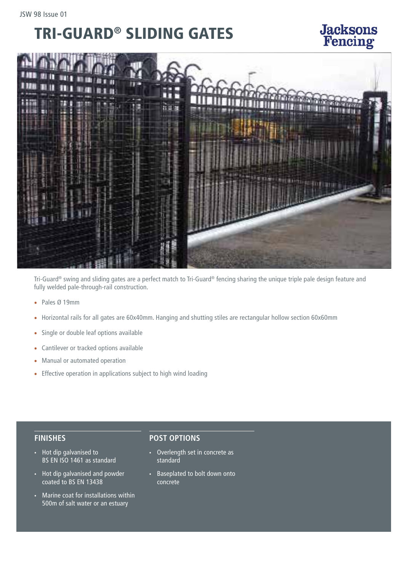## TRI-GUARD® SLIDING GATES

# BARBICAN ®

**Jacksons**<br>Fencing

Tri-Guard® swing and sliding gates are a perfect match to Tri-Guard® fencing sharing the unique triple pale design feature and fully welded pale-through-rail construction.

- Pales Ø 19mm
- Horizontal rails for all gates are 60x40mm. Hanging and shutting stiles are rectangular hollow section 60x60mm
- Single or double leaf options available
- Cantilever or tracked options available
- Manual or automated operation
- Effective operation in applications subject to high wind loading

### **FINISHES**

- Hot dip galvanised to BS EN ISO 1461 as standard
- Hot dip galvanised and powder coated to BS EN 13438
- Marine coat for installations within 500m of salt water or an estuary

### **POST OPTIONS**

- Overlength set in concrete as standard
- Baseplated to bolt down onto concrete